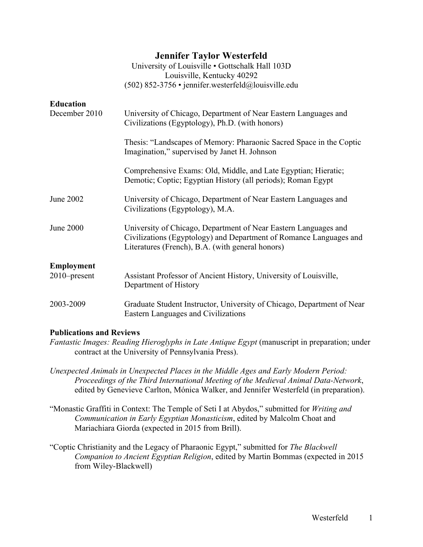|                  | <b>Jennifer Taylor Westerfeld</b><br>University of Louisville . Gottschalk Hall 103D<br>Louisville, Kentucky 40292<br>$(502)$ 852-3756 • jennifer.westerfeld@louisville.edu               |
|------------------|-------------------------------------------------------------------------------------------------------------------------------------------------------------------------------------------|
| <b>Education</b> |                                                                                                                                                                                           |
| December 2010    | University of Chicago, Department of Near Eastern Languages and<br>Civilizations (Egyptology), Ph.D. (with honors)                                                                        |
|                  | Thesis: "Landscapes of Memory: Pharaonic Sacred Space in the Coptic<br>Imagination," supervised by Janet H. Johnson                                                                       |
|                  | Comprehensive Exams: Old, Middle, and Late Egyptian; Hieratic;<br>Demotic; Coptic; Egyptian History (all periods); Roman Egypt                                                            |
| <b>June 2002</b> | University of Chicago, Department of Near Eastern Languages and<br>Civilizations (Egyptology), M.A.                                                                                       |
| <b>June 2000</b> | University of Chicago, Department of Near Eastern Languages and<br>Civilizations (Egyptology) and Department of Romance Languages and<br>Literatures (French), B.A. (with general honors) |
| Employment       |                                                                                                                                                                                           |
| 2010-present     | Assistant Professor of Ancient History, University of Louisville,<br>Department of History                                                                                                |
| 2003-2009        | Graduate Student Instructor, University of Chicago, Department of Near<br>Eastern Languages and Civilizations                                                                             |

# **Publications and Reviews**

- *Fantastic Images: Reading Hieroglyphs in Late Antique Egypt* (manuscript in preparation; under contract at the University of Pennsylvania Press).
- *Unexpected Animals in Unexpected Places in the Middle Ages and Early Modern Period: Proceedings of the Third International Meeting of the Medieval Animal Data-Network*, edited by Genevieve Carlton, Mónica Walker, and Jennifer Westerfeld (in preparation).
- "Monastic Graffiti in Context: The Temple of Seti I at Abydos," submitted for *Writing and Communication in Early Egyptian Monasticism*, edited by Malcolm Choat and Mariachiara Giorda (expected in 2015 from Brill).
- "Coptic Christianity and the Legacy of Pharaonic Egypt," submitted for *The Blackwell Companion to Ancient Egyptian Religion*, edited by Martin Bommas (expected in 2015 from Wiley-Blackwell)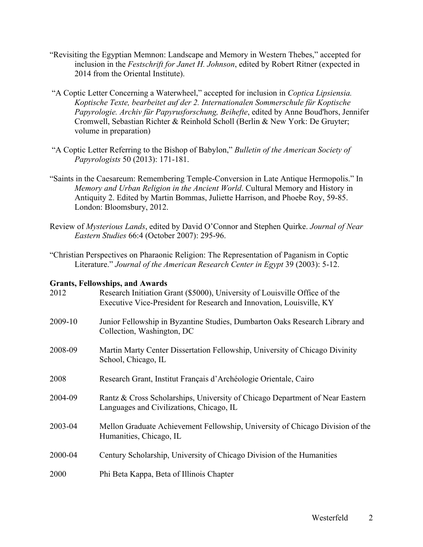- "Revisiting the Egyptian Memnon: Landscape and Memory in Western Thebes," accepted for inclusion in the *Festschrift for Janet H. Johnson*, edited by Robert Ritner (expected in 2014 from the Oriental Institute).
- "A Coptic Letter Concerning a Waterwheel," accepted for inclusion in *Coptica Lipsiensia. Koptische Texte, bearbeitet auf der 2. Internationalen Sommerschule für Koptische Papyrologie. Archiv für Papyrusforschung, Beihefte*, edited by Anne Boud'hors, Jennifer Cromwell, Sebastian Richter & Reinhold Scholl (Berlin & New York: De Gruyter; volume in preparation)
- "A Coptic Letter Referring to the Bishop of Babylon," *Bulletin of the American Society of Papyrologists* 50 (2013): 171-181.
- "Saints in the Caesareum: Remembering Temple-Conversion in Late Antique Hermopolis." In *Memory and Urban Religion in the Ancient World*. Cultural Memory and History in Antiquity 2. Edited by Martin Bommas, Juliette Harrison, and Phoebe Roy, 59-85. London: Bloomsbury, 2012.
- Review of *Mysterious Lands*, edited by David O'Connor and Stephen Quirke. *Journal of Near Eastern Studies* 66:4 (October 2007): 295-96.
- "Christian Perspectives on Pharaonic Religion: The Representation of Paganism in Coptic Literature." *Journal of the American Research Center in Egypt* 39 (2003): 5-12.

#### **Grants, Fellowships, and Awards**

| 2012    | Research Initiation Grant (\$5000), University of Louisville Office of the<br>Executive Vice-President for Research and Innovation, Louisville, KY |
|---------|----------------------------------------------------------------------------------------------------------------------------------------------------|
| 2009-10 | Junior Fellowship in Byzantine Studies, Dumbarton Oaks Research Library and<br>Collection, Washington, DC                                          |
| 2008-09 | Martin Marty Center Dissertation Fellowship, University of Chicago Divinity<br>School, Chicago, IL                                                 |
| 2008    | Research Grant, Institut Français d'Archéologie Orientale, Cairo                                                                                   |
| 2004-09 | Rantz & Cross Scholarships, University of Chicago Department of Near Eastern<br>Languages and Civilizations, Chicago, IL                           |
| 2003-04 | Mellon Graduate Achievement Fellowship, University of Chicago Division of the<br>Humanities, Chicago, IL                                           |
| 2000-04 | Century Scholarship, University of Chicago Division of the Humanities                                                                              |
| 2000    | Phi Beta Kappa, Beta of Illinois Chapter                                                                                                           |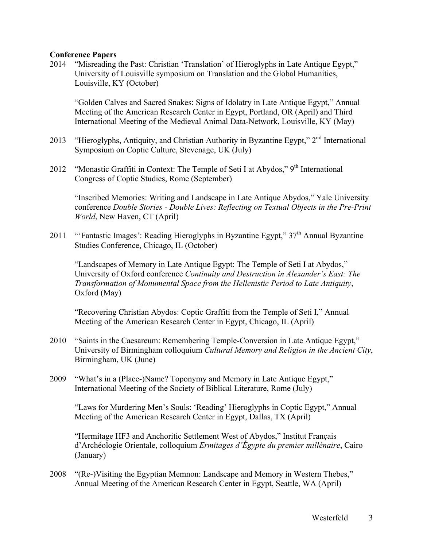# **Conference Papers**

2014 "Misreading the Past: Christian 'Translation' of Hieroglyphs in Late Antique Egypt," University of Louisville symposium on Translation and the Global Humanities, Louisville, KY (October)

"Golden Calves and Sacred Snakes: Signs of Idolatry in Late Antique Egypt," Annual Meeting of the American Research Center in Egypt, Portland, OR (April) and Third International Meeting of the Medieval Animal Data-Network, Louisville, KY (May)

- 2013 "Hieroglyphs, Antiquity, and Christian Authority in Byzantine Egypt," 2<sup>nd</sup> International Symposium on Coptic Culture, Stevenage, UK (July)
- 2012 "Monastic Graffiti in Context: The Temple of Seti I at Abydos,"  $9<sup>th</sup>$  International Congress of Coptic Studies, Rome (September)

"Inscribed Memories: Writing and Landscape in Late Antique Abydos," Yale University conference *Double Stories - Double Lives: Reflecting on Textual Objects in the Pre-Print World*, New Haven, CT (April)

2011 ""Fantastic Images": Reading Hieroglyphs in Byzantine Egypt,"  $37<sup>th</sup>$  Annual Byzantine Studies Conference, Chicago, IL (October)

"Landscapes of Memory in Late Antique Egypt: The Temple of Seti I at Abydos," University of Oxford conference *Continuity and Destruction in Alexander's East: The Transformation of Monumental Space from the Hellenistic Period to Late Antiquity*, Oxford (May)

"Recovering Christian Abydos: Coptic Graffiti from the Temple of Seti I," Annual Meeting of the American Research Center in Egypt, Chicago, IL (April)

- 2010 "Saints in the Caesareum: Remembering Temple-Conversion in Late Antique Egypt," University of Birmingham colloquium *Cultural Memory and Religion in the Ancient City*, Birmingham, UK (June)
- 2009 "What's in a (Place-)Name? Toponymy and Memory in Late Antique Egypt," International Meeting of the Society of Biblical Literature, Rome (July)

"Laws for Murdering Men's Souls: 'Reading' Hieroglyphs in Coptic Egypt," Annual Meeting of the American Research Center in Egypt, Dallas, TX (April)

"Hermitage HF3 and Anchoritic Settlement West of Abydos," Institut Français d'Archéologie Orientale, colloquium *Ermitages d'Égypte du premier millénaire*, Cairo (January)

2008 "(Re-)Visiting the Egyptian Memnon: Landscape and Memory in Western Thebes," Annual Meeting of the American Research Center in Egypt, Seattle, WA (April)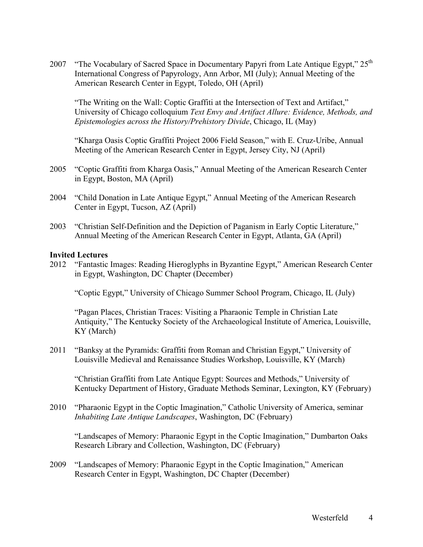2007 "The Vocabulary of Sacred Space in Documentary Papyri from Late Antique Egypt," 25<sup>th</sup> International Congress of Papyrology, Ann Arbor, MI (July); Annual Meeting of the American Research Center in Egypt, Toledo, OH (April)

"The Writing on the Wall: Coptic Graffiti at the Intersection of Text and Artifact," University of Chicago colloquium *Text Envy and Artifact Allure: Evidence, Methods, and Epistemologies across the History/Prehistory Divide*, Chicago, IL (May)

"Kharga Oasis Coptic Graffiti Project 2006 Field Season," with E. Cruz-Uribe, Annual Meeting of the American Research Center in Egypt, Jersey City, NJ (April)

- 2005 "Coptic Graffiti from Kharga Oasis," Annual Meeting of the American Research Center in Egypt, Boston, MA (April)
- 2004 "Child Donation in Late Antique Egypt," Annual Meeting of the American Research Center in Egypt, Tucson, AZ (April)
- 2003 "Christian Self-Definition and the Depiction of Paganism in Early Coptic Literature," Annual Meeting of the American Research Center in Egypt, Atlanta, GA (April)

# **Invited Lectures**

2012 "Fantastic Images: Reading Hieroglyphs in Byzantine Egypt," American Research Center in Egypt, Washington, DC Chapter (December)

"Coptic Egypt," University of Chicago Summer School Program, Chicago, IL (July)

"Pagan Places, Christian Traces: Visiting a Pharaonic Temple in Christian Late Antiquity," The Kentucky Society of the Archaeological Institute of America, Louisville, KY (March)

2011 "Banksy at the Pyramids: Graffiti from Roman and Christian Egypt," University of Louisville Medieval and Renaissance Studies Workshop, Louisville, KY (March)

"Christian Graffiti from Late Antique Egypt: Sources and Methods," University of Kentucky Department of History, Graduate Methods Seminar, Lexington, KY (February)

2010 "Pharaonic Egypt in the Coptic Imagination," Catholic University of America, seminar *Inhabiting Late Antique Landscapes*, Washington, DC (February)

"Landscapes of Memory: Pharaonic Egypt in the Coptic Imagination," Dumbarton Oaks Research Library and Collection, Washington, DC (February)

2009 "Landscapes of Memory: Pharaonic Egypt in the Coptic Imagination," American Research Center in Egypt, Washington, DC Chapter (December)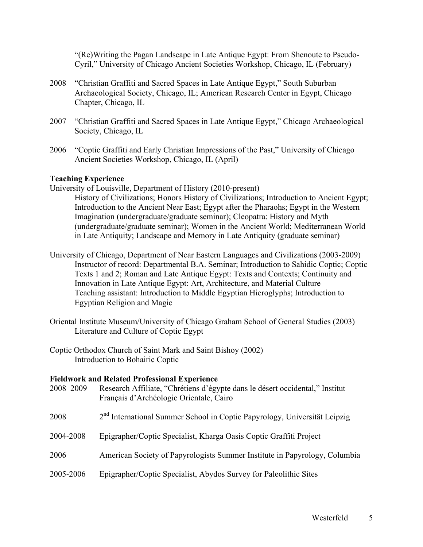"(Re)Writing the Pagan Landscape in Late Antique Egypt: From Shenoute to Pseudo-Cyril," University of Chicago Ancient Societies Workshop, Chicago, IL (February)

- 2008 "Christian Graffiti and Sacred Spaces in Late Antique Egypt," South Suburban Archaeological Society, Chicago, IL; American Research Center in Egypt, Chicago Chapter, Chicago, IL
- 2007 "Christian Graffiti and Sacred Spaces in Late Antique Egypt," Chicago Archaeological Society, Chicago, IL
- 2006 "Coptic Graffiti and Early Christian Impressions of the Past," University of Chicago Ancient Societies Workshop, Chicago, IL (April)

#### **Teaching Experience**

- University of Louisville, Department of History (2010-present) History of Civilizations; Honors History of Civilizations; Introduction to Ancient Egypt; Introduction to the Ancient Near East; Egypt after the Pharaohs; Egypt in the Western Imagination (undergraduate/graduate seminar); Cleopatra: History and Myth (undergraduate/graduate seminar); Women in the Ancient World; Mediterranean World in Late Antiquity; Landscape and Memory in Late Antiquity (graduate seminar)
- University of Chicago, Department of Near Eastern Languages and Civilizations (2003-2009) Instructor of record: Departmental B.A. Seminar; Introduction to Sahidic Coptic; Coptic Texts 1 and 2; Roman and Late Antique Egypt: Texts and Contexts; Continuity and Innovation in Late Antique Egypt: Art, Architecture, and Material Culture Teaching assistant: Introduction to Middle Egyptian Hieroglyphs; Introduction to Egyptian Religion and Magic
- Oriental Institute Museum/University of Chicago Graham School of General Studies (2003) Literature and Culture of Coptic Egypt
- Coptic Orthodox Church of Saint Mark and Saint Bishoy (2002) Introduction to Bohairic Coptic

#### **Fieldwork and Related Professional Experience**

| 2008-2009 | Research Affiliate, "Chrétiens d'égypte dans le désert occidental," Institut<br>Français d'Archéologie Orientale, Cairo |
|-----------|-------------------------------------------------------------------------------------------------------------------------|
| 2008      | 2 <sup>nd</sup> International Summer School in Coptic Papyrology, Universität Leipzig                                   |
| 2004-2008 | Epigrapher/Coptic Specialist, Kharga Oasis Coptic Graffiti Project                                                      |
| 2006      | American Society of Papyrologists Summer Institute in Papyrology, Columbia                                              |
| 2005-2006 | Epigrapher/Coptic Specialist, Abydos Survey for Paleolithic Sites                                                       |
|           |                                                                                                                         |